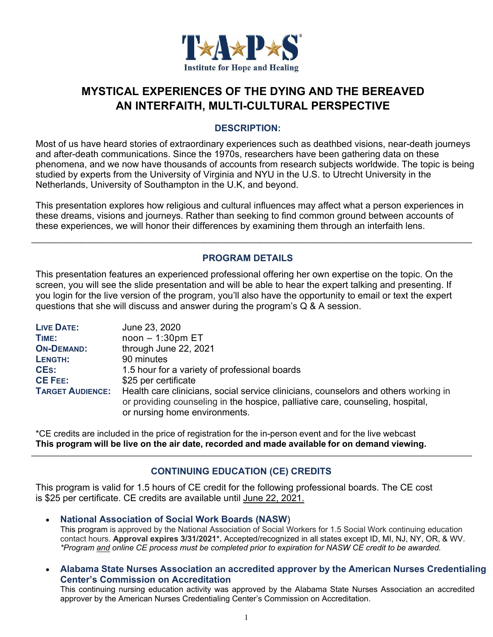

# **MYSTICAL EXPERIENCES OF THE DYING AND THE BEREAVED AN INTERFAITH, MULTI-CULTURAL PERSPECTIVE**

#### **DESCRIPTION:**

Most of us have heard stories of extraordinary experiences such as deathbed visions, near-death journeys and after-death communications. Since the 1970s, researchers have been gathering data on these phenomena, and we now have thousands of accounts from research subjects worldwide. The topic is being studied by experts from the University of Virginia and NYU in the U.S. to Utrecht University in the Netherlands, University of Southampton in the U.K, and beyond.

This presentation explores how religious and cultural influences may affect what a person experiences in these dreams, visions and journeys. Rather than seeking to find common ground between accounts of these experiences, we will honor their differences by examining them through an interfaith lens.

\_\_\_\_\_\_\_\_\_\_\_\_\_\_\_\_\_\_\_\_\_\_\_\_\_\_\_\_\_\_\_\_\_\_\_\_\_\_\_\_\_\_\_\_\_\_\_\_\_\_\_\_\_\_\_\_\_\_\_\_\_\_\_\_\_\_\_\_\_\_\_\_\_\_\_\_\_\_\_\_\_\_\_\_\_\_\_\_\_\_\_\_\_\_\_\_\_\_\_\_\_\_\_\_\_\_\_\_\_\_

#### **PROGRAM DETAILS**

This presentation features an experienced professional offering her own expertise on the topic. On the screen, you will see the slide presentation and will be able to hear the expert talking and presenting. If you login for the live version of the program, you'll also have the opportunity to email or text the expert questions that she will discuss and answer during the program's Q & A session.

| <b>LIVE DATE:</b>       | June 23, 2020                                                                                                                                                                                          |
|-------------------------|--------------------------------------------------------------------------------------------------------------------------------------------------------------------------------------------------------|
| TIME:                   | $noon - 1:30pm ET$                                                                                                                                                                                     |
| <b>ON-DEMAND:</b>       | through June 22, 2021                                                                                                                                                                                  |
| LENGTH:                 | 90 minutes                                                                                                                                                                                             |
| <b>CES:</b>             | 1.5 hour for a variety of professional boards                                                                                                                                                          |
| <b>CE FEE:</b>          | \$25 per certificate                                                                                                                                                                                   |
| <b>TARGET AUDIENCE:</b> | Health care clinicians, social service clinicians, counselors and others working in<br>or providing counseling in the hospice, palliative care, counseling, hospital,<br>or nursing home environments. |

\*CE credits are included in the price of registration for the in-person event and for the live webcast **This program will be live on the air date, recorded and made available for on demand viewing.**

### **CONTINUING EDUCATION (CE) CREDITS**

\_\_\_\_\_\_\_\_\_\_\_\_\_\_\_\_\_\_\_\_\_\_\_\_\_\_\_\_\_\_\_\_\_\_\_\_\_\_\_\_\_\_\_\_\_\_\_\_\_\_\_\_\_\_\_\_\_\_\_\_\_\_\_\_\_\_\_\_\_\_\_\_\_\_\_\_\_\_\_\_\_\_\_\_\_\_\_\_\_\_\_\_\_\_\_\_\_\_\_\_\_\_\_\_\_\_\_\_\_\_

This program is valid for 1.5 hours of CE credit for the following professional boards. The CE cost is \$25 per certificate. CE credits are available until June 22, 2021.

- **National Association of Social Work Boards (NASW**) This program is approved by the National Association of Social Workers for 1.5 Social Work continuing education contact hours. **Approval expires 3/31/2021\*.** Accepted/recognized in all states except ID, MI, NJ, NY, OR, & WV. *\*Program and online CE process must be completed prior to expiration for NASW CE credit to be awarded.*
- **Alabama State Nurses Association an accredited approver by the American Nurses Credentialing Center's Commission on Accreditation**

This continuing nursing education activity was approved by the Alabama State Nurses Association an accredited approver by the American Nurses Credentialing Center's Commission on Accreditation.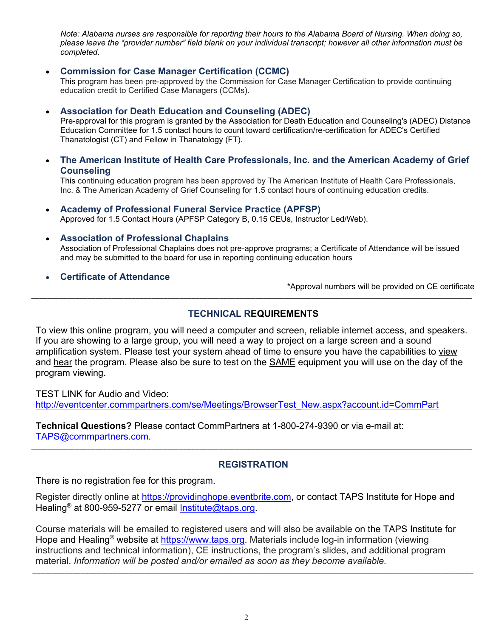*Note: Alabama nurses are responsible for reporting their hours to the Alabama Board of Nursing. When doing so, please leave the "provider number" field blank on your individual transcript; however all other information must be completed.*

#### **Commission for Case Manager Certification (CCMC)**

This program has been pre-approved by the Commission for Case Manager Certification to provide continuing education credit to Certified Case Managers (CCMs).

#### **Association for Death Education and Counseling (ADEC)**

Pre-approval for this program is granted by the Association for Death Education and Counseling's (ADEC) Distance Education Committee for 1.5 contact hours to count toward certification/re-certification for ADEC's Certified Thanatologist (CT) and Fellow in Thanatology (FT).

 **The American Institute of Health Care Professionals, Inc. and the American Academy of Grief Counseling**

This continuing education program has been approved by The American Institute of Health Care Professionals, Inc. & The American Academy of Grief Counseling for 1.5 contact hours of continuing education credits.

## **Academy of Professional Funeral Service Practice (APFSP)**

Approved for 1.5 Contact Hours (APFSP Category B, 0.15 CEUs, Instructor Led/Web).

- **Association of Professional Chaplains** Association of Professional Chaplains does not pre-approve programs; a Certificate of Attendance will be issued and may be submitted to the board for use in reporting continuing education hours
- **Certificate of Attendance**

\*Approval numbers will be provided on CE certificate

#### **TECHNICAL REQUIREMENTS**

\_\_\_\_\_\_\_\_\_\_\_\_\_\_\_\_\_\_\_\_\_\_\_\_\_\_\_\_\_\_\_\_\_\_\_\_\_\_\_\_\_\_\_\_\_\_\_\_\_\_\_\_\_\_\_\_\_\_\_\_\_\_\_\_\_\_\_\_\_\_\_\_\_\_\_\_\_\_\_\_\_\_\_\_\_\_\_\_\_\_\_\_\_\_\_\_\_\_\_\_\_\_\_\_\_\_\_\_\_\_

To view this online program, you will need a computer and screen, reliable internet access, and speakers. If you are showing to a large group, you will need a way to project on a large screen and a sound amplification system. Please test your system ahead of time to ensure you have the capabilities to view and hear the program. Please also be sure to test on the **SAME** equipment you will use on the day of the program viewing.

TEST LINK for Audio and Video: http://eventcenter.commpartners.com/se/Meetings/BrowserTest\_New.aspx?account.id=CommPart

**Technical Questions?** Please contact CommPartners at 1-800-274-9390 or via e-mail at: TAPS@commpartners.com.

#### **REGISTRATION**

\_\_\_\_\_\_\_\_\_\_\_\_\_\_\_\_\_\_\_\_\_\_\_\_\_\_\_\_\_\_\_\_\_\_\_\_\_\_\_\_\_\_\_\_\_\_\_\_\_\_\_\_\_\_\_\_\_\_\_\_\_\_\_\_\_\_\_\_\_\_\_\_\_\_\_\_\_\_\_\_\_\_\_\_\_\_\_\_\_\_\_\_\_\_\_\_\_\_\_\_\_\_\_\_\_\_\_\_\_\_

There is no registration fee for this program.

Register directly online at https://providinghope.eventbrite.com, or contact TAPS Institute for Hope and Healing<sup>®</sup> at 800-959-5277 or email Institute@taps.org.

Course materials will be emailed to registered users and will also be available on the TAPS Institute for Hope and Healing<sup>®</sup> website at https://www.taps.org. Materials include log-in information (viewing instructions and technical information), CE instructions, the program's slides, and additional program material. *Information will be posted and/or emailed as soon as they become available.* \_\_\_\_\_\_\_\_\_\_\_\_\_\_\_\_\_\_\_\_\_\_\_\_\_\_\_\_\_\_\_\_\_\_\_\_\_\_\_\_\_\_\_\_\_\_\_\_\_\_\_\_\_\_\_\_\_\_\_\_\_\_\_\_\_\_\_\_\_\_\_\_\_\_\_\_\_\_\_\_\_\_\_\_\_\_\_\_\_\_\_\_\_\_\_\_\_\_\_\_\_\_\_\_\_\_\_\_\_\_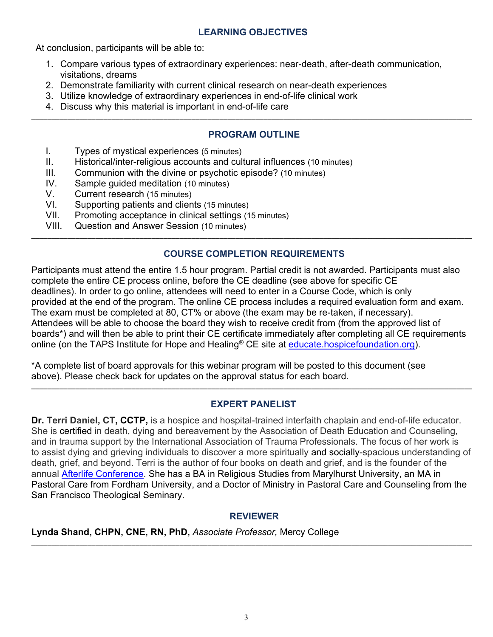#### **LEARNING OBJECTIVES**

At conclusion, participants will be able to:

- 1. Compare various types of extraordinary experiences: near-death, after-death communication, visitations, dreams
- 2. Demonstrate familiarity with current clinical research on near-death experiences
- 3. Utilize knowledge of extraordinary experiences in end-of-life clinical work
- 4. Discuss why this material is important in end-of-life care

## **PROGRAM OUTLINE**

\_\_\_\_\_\_\_\_\_\_\_\_\_\_\_\_\_\_\_\_\_\_\_\_\_\_\_\_\_\_\_\_\_\_\_\_\_\_\_\_\_\_\_\_\_\_\_\_\_\_\_\_\_\_\_\_\_\_\_\_\_\_\_\_\_\_\_\_\_\_\_\_\_\_\_\_\_\_\_\_\_\_\_\_\_\_\_\_\_\_\_\_\_\_\_\_\_\_\_\_\_\_\_\_\_\_\_\_\_\_

- I. Types of mystical experiences (5 minutes)
- II. Historical/inter-religious accounts and cultural influences (10 minutes)
- III. Communion with the divine or psychotic episode? (10 minutes)
- IV. Sample guided meditation (10 minutes)
- V. Current research (15 minutes)
- VI. Supporting patients and clients (15 minutes)
- VII. Promoting acceptance in clinical settings (15 minutes)
- VIII. Question and Answer Session (10 minutes) \_\_\_\_\_\_\_\_\_\_\_\_\_\_\_\_\_\_\_\_\_\_\_\_\_\_\_\_\_\_\_\_\_\_\_\_\_\_\_\_\_\_\_\_\_\_\_\_\_\_\_\_\_\_\_\_\_\_\_\_\_\_\_\_\_\_\_\_\_\_\_\_\_\_\_\_\_\_\_\_\_\_\_\_\_\_\_\_\_\_\_\_\_\_\_\_\_\_\_\_\_\_\_\_\_\_\_\_\_\_

### **COURSE COMPLETION REQUIREMENTS**

Participants must attend the entire 1.5 hour program. Partial credit is not awarded. Participants must also complete the entire CE process online, before the CE deadline (see above for specific CE deadlines). In order to go online, attendees will need to enter in a Course Code, which is only provided at the end of the program. The online CE process includes a required evaluation form and exam. The exam must be completed at 80, CT% or above (the exam may be re-taken, if necessary). Attendees will be able to choose the board they wish to receive credit from (from the approved list of boards\*) and will then be able to print their CE certificate immediately after completing all CE requirements online (on the TAPS Institute for Hope and Healing® CE site at *educate hospicefoundation.org*).

\*A complete list of board approvals for this webinar program will be posted to this document (see above). Please check back for updates on the approval status for each board.

### **EXPERT PANELIST**

\_\_\_\_\_\_\_\_\_\_\_\_\_\_\_\_\_\_\_\_\_\_\_\_\_\_\_\_\_\_\_\_\_\_\_\_\_\_\_\_\_\_\_\_\_\_\_\_\_\_\_\_\_\_\_\_\_\_\_\_\_\_\_\_\_\_\_\_\_\_\_\_\_\_\_\_\_\_\_\_\_\_\_\_\_\_\_\_\_\_\_\_\_\_\_\_\_\_\_\_\_\_\_\_\_\_\_\_\_\_

**Dr. Terri Daniel, CT, CCTP,** is a hospice and hospital-trained interfaith chaplain and end-of-life educator. She is certified in death, dying and bereavement by the Association of Death Education and Counseling, and in trauma support by the International Association of Trauma Professionals. The focus of her work is to assist dying and grieving individuals to discover a more spiritually and socially-spacious understanding of death, grief, and beyond. Terri is the author of four books on death and grief, and is the founder of the annual Afterlife Conference. She has a BA in Religious Studies from Marylhurst University, an MA in Pastoral Care from Fordham University, and a Doctor of Ministry in Pastoral Care and Counseling from the San Francisco Theological Seminary.

### **REVIEWER**

#### **Lynda Shand, CHPN, CNE, RN, PhD,** *Associate Professor,* Mercy College \_\_\_\_\_\_\_\_\_\_\_\_\_\_\_\_\_\_\_\_\_\_\_\_\_\_\_\_\_\_\_\_\_\_\_\_\_\_\_\_\_\_\_\_\_\_\_\_\_\_\_\_\_\_\_\_\_\_\_\_\_\_\_\_\_\_\_\_\_\_\_\_\_\_\_\_\_\_\_\_\_\_\_\_\_\_\_\_\_\_\_\_\_\_\_\_\_\_\_\_\_\_\_\_\_\_\_\_\_\_